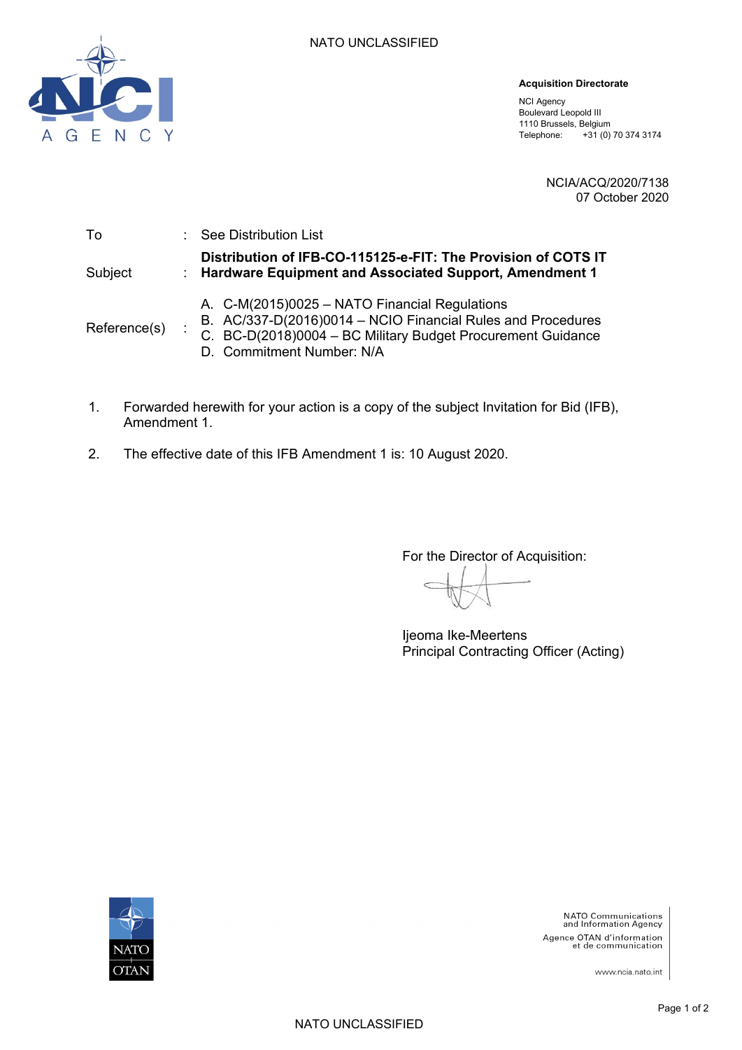

#### **Acquisition Directorate**

NCI Agency Boulevard Leopold III 1110 Brussels, Belgium Telephone: +31 (0) 70 374 3174

> NCIA/ACQ/2020/7138 07 October 2020

| To           | : See Distribution List                                                                                                                                                                                  |
|--------------|----------------------------------------------------------------------------------------------------------------------------------------------------------------------------------------------------------|
| Subject      | Distribution of IFB-CO-115125-e-FIT: The Provision of COTS IT<br>: Hardware Equipment and Associated Support, Amendment 1                                                                                |
| Reference(s) | A. C-M(2015)0025 - NATO Financial Regulations<br>B. AC/337-D(2016)0014 - NCIO Financial Rules and Procedures<br>C. BC-D(2018)0004 - BC Military Budget Procurement Guidance<br>D. Commitment Number: N/A |

- 1. Forwarded herewith for your action is a copy of the subject Invitation for Bid (IFB), Amendment 1.
- 2. The effective date of this IFB Amendment 1 is: 10 August 2020.

For the Director of Acquisition:

Ijeoma Ike-Meertens Principal Contracting Officer (Acting)



**NATO Communications**<br>and Information Agency Agence OTAN d'information<br>et de communication

www.ncia.nato.int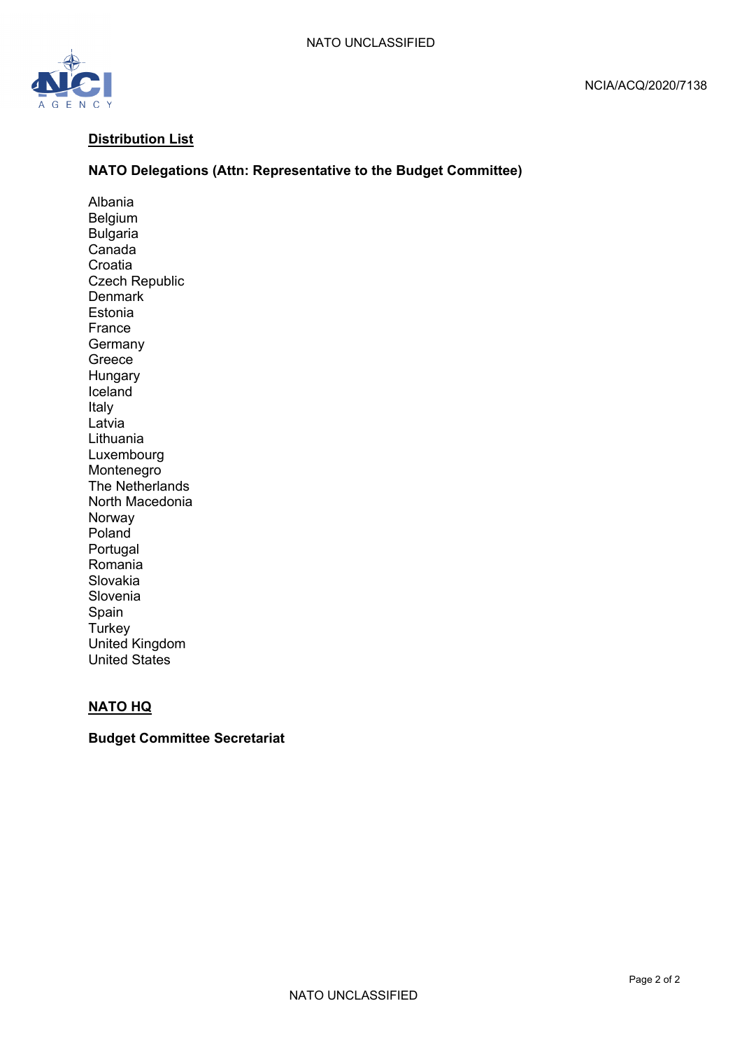

### **Distribution List**

#### **NATO Delegations (Attn: Representative to the Budget Committee)**

Albania Belgium Bulgaria Canada Croatia Czech Republic **Denmark** Estonia France **Germany** Greece Hungary Iceland Italy Latvia Lithuania Luxembourg Montenegro The Netherlands North Macedonia Norway Poland Portugal Romania Slovakia Slovenia Spain **Turkey** United Kingdom United States

#### **NATO HQ**

#### **Budget Committee Secretariat**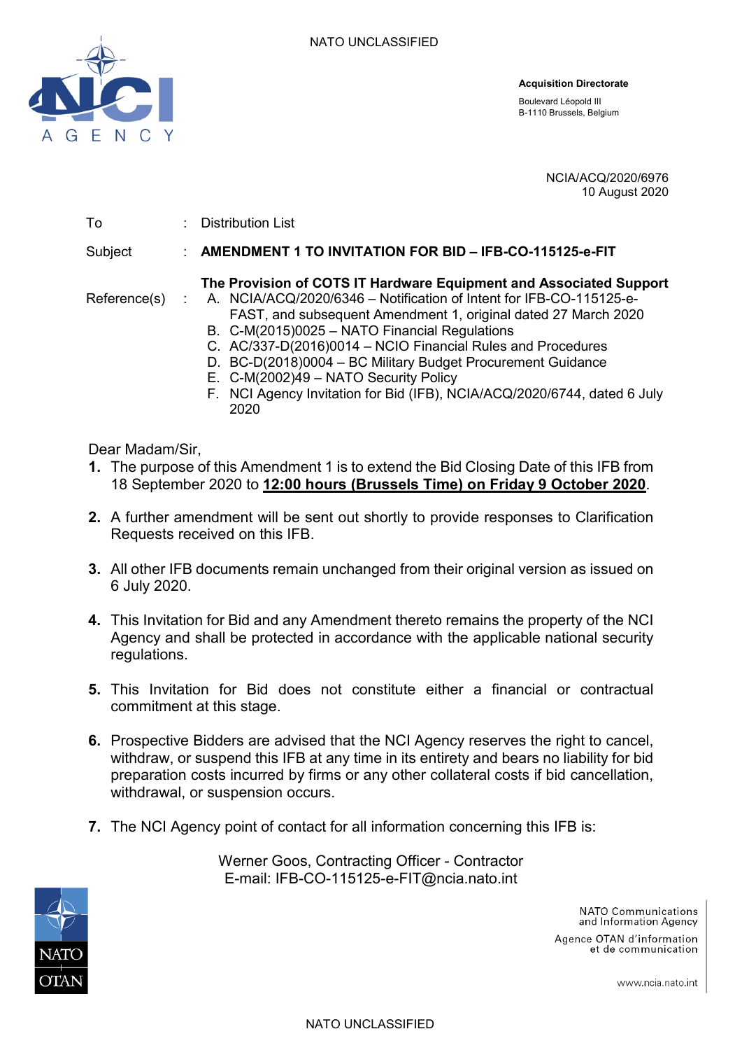

**Acquisition Directorate**

Boulevard Léopold III B-1110 Brussels, Belgium

> NCIA/ACQ/2020/6976 10 August 2020

To : Distribution List

Subject : **AMENDMENT 1 TO INVITATION FOR BID – IFB-CO-115125-e-FIT**

## **The Provision of COTS IT Hardware Equipment and Associated Support**

- Reference(s) : A. NCIA/ACQ/2020/6346 Notification of Intent for IFB-CO-115125-e-FAST, and subsequent Amendment 1, original dated 27 March 2020
	- B. C-M(2015)0025 NATO Financial Regulations
	- C. AC/337-D(2016)0014 NCIO Financial Rules and Procedures D. BC-D(2018)0004 – BC Military Budget Procurement Guidance
	- E. C-M(2002)49 NATO Security Policy
	- F. NCI Agency Invitation for Bid (IFB), NCIA/ACQ/2020/6744, dated 6 July 2020

Dear Madam/Sir,

- **1.** The purpose of this Amendment 1 is to extend the Bid Closing Date of this IFB from 18 September 2020 to **12:00 hours (Brussels Time) on Friday 9 October 2020**.
- **2.** A further amendment will be sent out shortly to provide responses to Clarification Requests received on this IFB.
- **3.** All other IFB documents remain unchanged from their original version as issued on 6 July 2020.
- **4.** This Invitation for Bid and any Amendment thereto remains the property of the NCI Agency and shall be protected in accordance with the applicable national security regulations.
- **5.** This Invitation for Bid does not constitute either a financial or contractual commitment at this stage.
- **6.** Prospective Bidders are advised that the NCI Agency reserves the right to cancel, withdraw, or suspend this IFB at any time in its entirety and bears no liability for bid preparation costs incurred by firms or any other collateral costs if bid cancellation, withdrawal, or suspension occurs.
- **7.** The NCI Agency point of contact for all information concerning this IFB is:



Werner Goos, Contracting Officer - Contractor E-mail: IFB-CO-115125-e-FIT@ncia.nato.int

> NATO Communications and Information Agency

Agence OTAN d'information et de communication

www.ncia.nato.int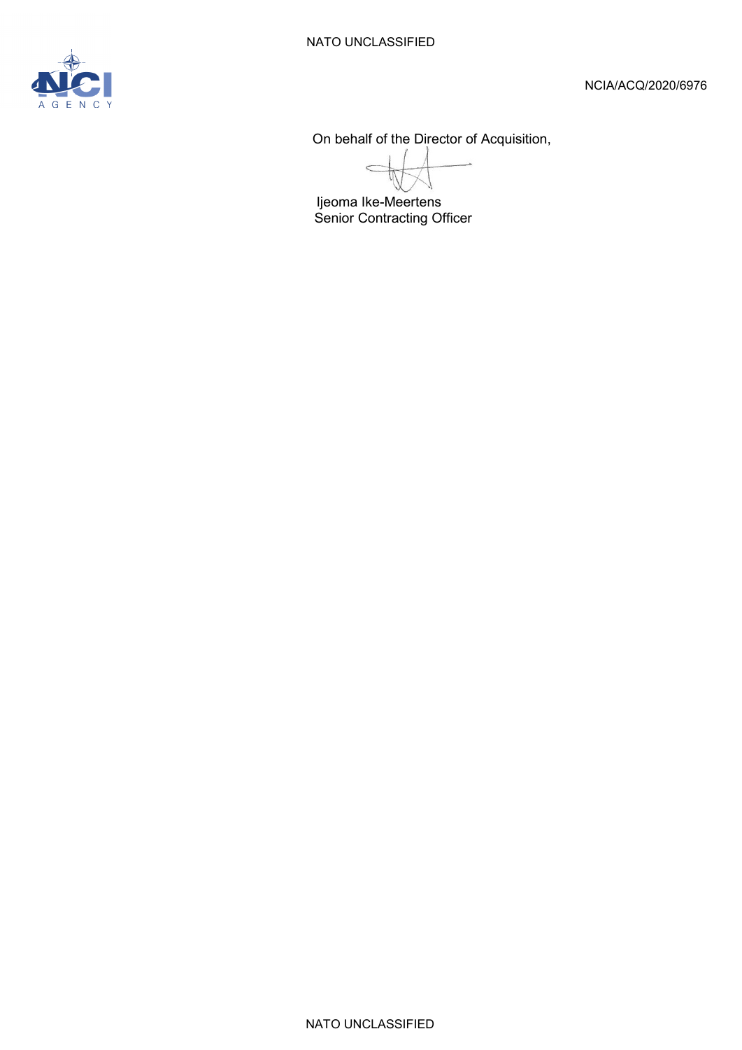On behalf of the Director of Acquisition,

 $\epsilon$ 

Ijeoma Ike-Meertens Senior Contracting Officer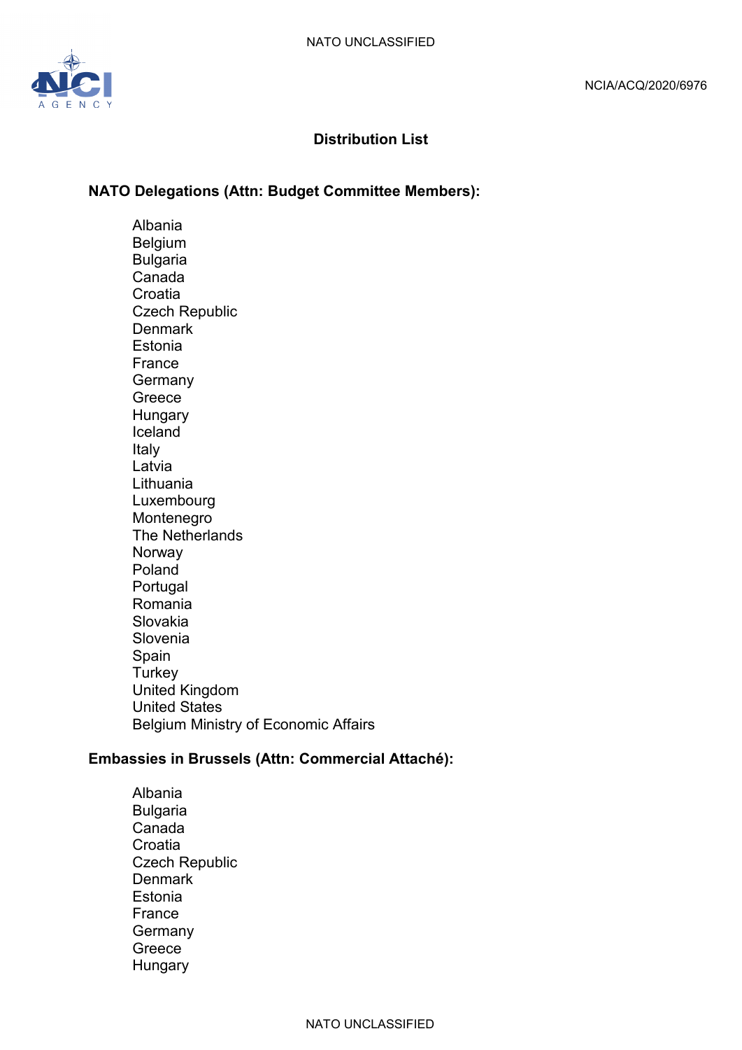

# **Distribution List**

# **NATO Delegations (Attn: Budget Committee Members):**

Albania Belgium Bulgaria Canada **Croatia** Czech Republic **Denmark Estonia** France **Germany** Greece **Hungary** Iceland Italy Latvia Lithuania Luxembourg Montenegro The Netherlands Norway Poland Portugal Romania Slovakia Slovenia Spain **Turkey** United Kingdom United States Belgium Ministry of Economic Affairs

## **Embassies in Brussels (Attn: Commercial Attaché):**

Albania Bulgaria Canada **Croatia** Czech Republic **Denmark** Estonia France **Germany** Greece **Hungary**